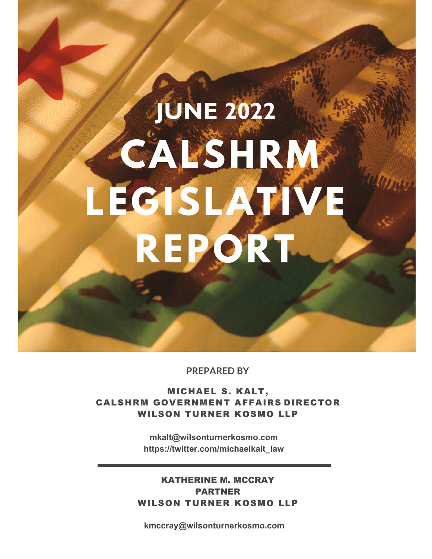# **CALSHRM LEGISLATIVE REPORT JUNE 2022**

**PREPARED BY**

MICHAEL S. KALT, CALSHRM GOVERNMENT AFFAIRS DIRECTOR WILSON TURNER KOSMO LLP

> **mkalt@wilsonturnerkosmo.com https://twitter.com/michaelkalt\_law**

KATHERINE M. MCCRAY PARTNER WILSON TURNER KOSMO LLP

**kmccray@wilsonturnerkosmo.com**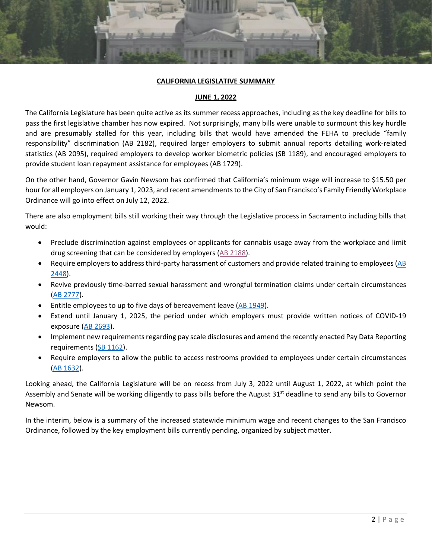#### **CALIFORNIA LEGISLATIVE SUMMARY**

#### **JUNE 1, 2022**

The California Legislature has been quite active as its summer recess approaches, including as the key deadline for bills to pass the first legislative chamber has now expired. Not surprisingly, many bills were unable to surmount this key hurdle and are presumably stalled for this year, including bills that would have amended the FEHA to preclude "family responsibility" discrimination (AB 2182), required larger employers to submit annual reports detailing work-related statistics (AB 2095), required employers to develop worker biometric policies (SB 1189), and encouraged employers to provide student loan repayment assistance for employees (AB 1729).

On the other hand, Governor Gavin Newsom has confirmed that California's minimum wage will increase to \$15.50 per hour for all employers on January 1, 2023, and recent amendments to the City of San Francisco's Family Friendly Workplace Ordinance will go into effect on July 12, 2022.

There are also employment bills still working their way through the Legislative process in Sacramento including bills that would:

- Preclude discrimination against employees or applicants for cannabis usage away from the workplace and limit drug screening that can be considered by employers [\(AB 2188\)](#page-4-0).
- Require employers to address third-party harassment of customers and provide related training to employees (AB [2448\)](#page-6-0).
- Revive previously time-barred sexual harassment and wrongful termination claims under certain circumstances [\(AB 2777\)](#page-4-1).
- Entitle employees to up to five days of bereavement leave [\(AB 1949\)](#page-11-0).

**PENDING BILLS**

- Extend until January 1, 2025, the period under which employers must provide written notices of COVID-19 exposure [\(AB 2693\)](#page-10-0).
- Implement new requirements regarding pay scale disclosures and amend the recently enacted Pay Data Reporting requirements [\(SB 1162\)](#page-7-0).
- Require employers to allow the public to access restrooms provided to employees under certain circumstances [\(AB 1632\)](#page-17-0).

Looking ahead, the California Legislature will be on recess from July 3, 2022 until August 1, 2022, at which point the Assembly and Senate will be working diligently to pass bills before the August  $31<sup>st</sup>$  deadline to send any bills to Governor Newsom.

In the interim, below is a summary of the increased statewide minimum wage and recent changes to the San Francisco Ordinance, followed by the key employment bills currently pending, organized by subject matter.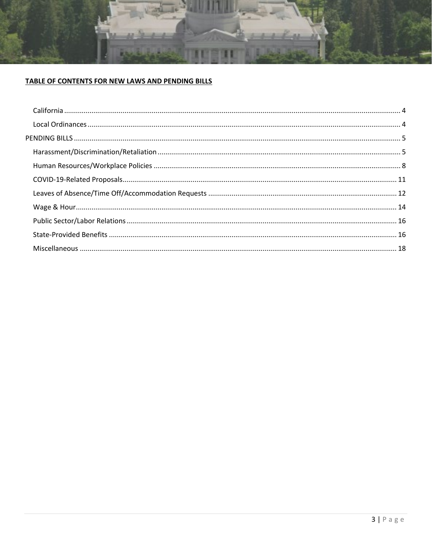

### TABLE OF CONTENTS FOR NEW LAWS AND PENDING BILLS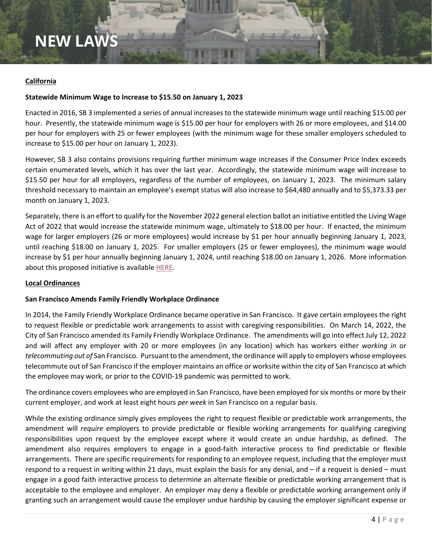### **NEW LAWS**

#### <span id="page-3-0"></span>**California**

#### **Statewide Minimum Wage to Increase to \$15.50 on January 1, 2023**

Enacted in 2016, SB 3 implemented a series of annual increases to the statewide minimum wage until reaching \$15.00 per hour. Presently, the statewide minimum wage is \$15.00 per hour for employers with 26 or more employees, and \$14.00 per hour for employers with 25 or fewer employees (with the minimum wage for these smaller employers scheduled to increase to \$15.00 per hour on January 1, 2023).

However, SB 3 also contains provisions requiring further minimum wage increases if the Consumer Price Index exceeds certain enumerated levels, which it has over the last year. Accordingly, the statewide minimum wage will increase to \$15.50 per hour for all employers, regardless of the number of employees, on January 1, 2023. The minimum salary threshold necessary to maintain an employee's exempt status will also increase to \$64,480 annually and to \$5,373.33 per month on January 1, 2023.

Separately, there is an effort to qualify for the November 2022 general election ballot an initiative entitled the Living Wage Act of 2022 that would increase the statewide minimum wage, ultimately to \$18.00 per hour. If enacted, the minimum wage for larger employers (26 or more employees) would increase by \$1 per hour annually beginning January 1, 2023, until reaching \$18.00 on January 1, 2025. For smaller employers (25 or fewer employees), the minimum wage would increase by \$1 per hour annually beginning January 1, 2024, until reaching \$18.00 on January 1, 2026. More information about this proposed initiative is available HERE.

#### <span id="page-3-1"></span>**Local Ordinances**

#### **San Francisco Amends Family Friendly Workplace Ordinance**

In 2014, the Family Friendly Workplace Ordinance became operative in San Francisco. It gave certain employees the right to request flexible or predictable work arrangements to assist with caregiving responsibilities. On March 14, 2022, the City of San Francisco amended its Family Friendly Workplace Ordinance. The amendments will go into effect July 12, 2022 and will affect any employer with 20 or more employees (in any location) which has workers either *working in* or *telecommuting out of* San Francisco. Pursuant to the amendment, the ordinance will apply to employers whose employees telecommute out of San Francisco if the employer maintains an office or worksite within the city of San Francisco at which the employee may work, or prior to the COVID-19 pandemic was permitted to work.

The ordinance covers employees who are employed in San Francisco, have been employed for six months or more by their current employer, and work at least eight hours *per week* in San Francisco on a regular basis.

While the existing ordinance simply gives employees the right to request flexible or predictable work arrangements, the amendment will *require* employers to provide predictable or flexible working arrangements for qualifying caregiving responsibilities upon request by the employee except where it would create an undue hardship, as defined. The amendment also requires employers to engage in a good-faith interactive process to find predictable or flexible arrangements. There are specific requirements for responding to an employee request, including that the employer must respond to a request in writing within 21 days, must explain the basis for any denial, and – if a request is denied – must engage in a good faith interactive process to determine an alternate flexible or predictable working arrangement that is acceptable to the employee and employer. An employer may deny a flexible or predictable working arrangement only if granting such an arrangement would cause the employer undue hardship by causing the employer significant expense or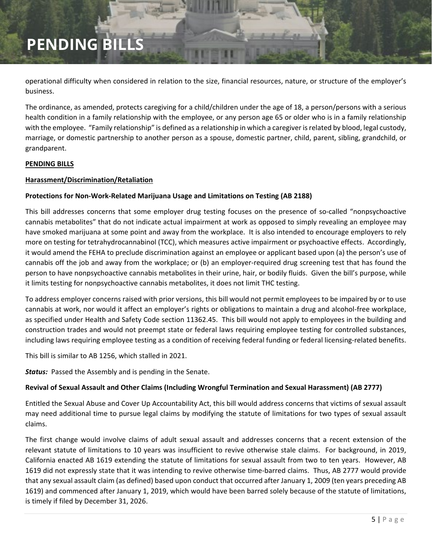operational difficulty when considered in relation to the size, financial resources, nature, or structure of the employer's business.

The ordinance, as amended, protects caregiving for a child/children under the age of 18, a person/persons with a serious health condition in a family relationship with the employee, or any person age 65 or older who is in a family relationship with the employee. "Family relationship" is defined as a relationship in which a caregiver is related by blood, legal custody, marriage, or domestic partnership to another person as a spouse, domestic partner, child, parent, sibling, grandchild, or grandparent.

#### <span id="page-4-2"></span>**PENDING BILLS**

#### <span id="page-4-3"></span>**Harassment/Discrimination/Retaliation**

#### <span id="page-4-0"></span>**Protections for Non-Work-Related Marijuana Usage and Limitations on Testing (AB 2188)**

This bill addresses concerns that some employer drug testing focuses on the presence of so-called "nonpsychoactive cannabis metabolites" that do not indicate actual impairment at work as opposed to simply revealing an employee may have smoked marijuana at some point and away from the workplace. It is also intended to encourage employers to rely more on testing for tetrahydrocannabinol (TCC), which measures active impairment or psychoactive effects. Accordingly, it would amend the FEHA to preclude discrimination against an employee or applicant based upon (a) the person's use of cannabis off the job and away from the workplace; or (b) an employer-required drug screening test that has found the person to have nonpsychoactive cannabis metabolites in their urine, hair, or bodily fluids. Given the bill's purpose, while it limits testing for nonpsychoactive cannabis metabolites, it does not limit THC testing.

To address employer concerns raised with prior versions, this bill would not permit employees to be impaired by or to use cannabis at work, nor would it affect an employer's rights or obligations to maintain a drug and alcohol-free workplace, as specified under Health and Safety Code section 11362.45. This bill would not apply to employees in the building and construction trades and would not preempt state or federal laws requiring employee testing for controlled substances, including laws requiring employee testing as a condition of receiving federal funding or federal licensing-related benefits.

This bill is similar to AB 1256, which stalled in 2021.

*Status:* Passed the Assembly and is pending in the Senate.

#### <span id="page-4-1"></span>**Revival of Sexual Assault and Other Claims (Including Wrongful Termination and Sexual Harassment) (AB 2777)**

Entitled the Sexual Abuse and Cover Up Accountability Act, this bill would address concerns that victims of sexual assault may need additional time to pursue legal claims by modifying the statute of limitations for two types of sexual assault claims.

The first change would involve claims of adult sexual assault and addresses concerns that a recent extension of the relevant statute of limitations to 10 years was insufficient to revive otherwise stale claims. For background, in 2019, California enacted AB 1619 extending the statute of limitations for sexual assault from two to ten years. However, AB 1619 did not expressly state that it was intending to revive otherwise time-barred claims. Thus, AB 2777 would provide that any sexual assault claim (as defined) based upon conduct that occurred after January 1, 2009 (ten years preceding AB 1619) and commenced after January 1, 2019, which would have been barred solely because of the statute of limitations, is timely if filed by December 31, 2026.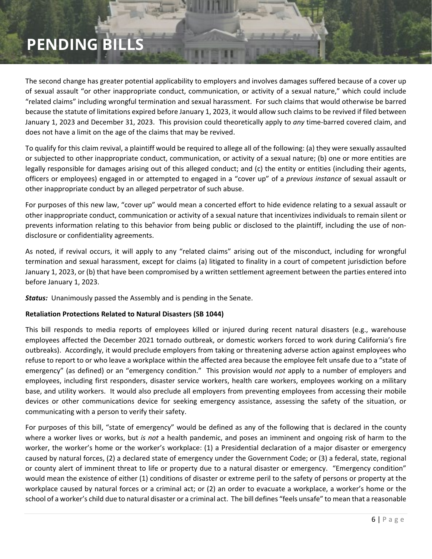The second change has greater potential applicability to employers and involves damages suffered because of a cover up of sexual assault "or other inappropriate conduct, communication, or activity of a sexual nature," which could include "related claims" including wrongful termination and sexual harassment. For such claims that would otherwise be barred because the statute of limitations expired before January 1, 2023, it would allow such claims to be revived if filed between January 1, 2023 and December 31, 2023. This provision could theoretically apply to *any* time-barred covered claim, and does not have a limit on the age of the claims that may be revived.

To qualify for this claim revival, a plaintiff would be required to allege all of the following: (a) they were sexually assaulted or subjected to other inappropriate conduct, communication, or activity of a sexual nature; (b) one or more entities are legally responsible for damages arising out of this alleged conduct; and (c) the entity or entities (including their agents, officers or employees) engaged in or attempted to engaged in a "cover up" of a *previous instance* of sexual assault or other inappropriate conduct by an alleged perpetrator of such abuse.

For purposes of this new law, "cover up" would mean a concerted effort to hide evidence relating to a sexual assault or other inappropriate conduct, communication or activity of a sexual nature that incentivizes individuals to remain silent or prevents information relating to this behavior from being public or disclosed to the plaintiff, including the use of nondisclosure or confidentiality agreements.

As noted, if revival occurs, it will apply to any "related claims" arising out of the misconduct, including for wrongful termination and sexual harassment, except for claims (a) litigated to finality in a court of competent jurisdiction before January 1, 2023, or (b) that have been compromised by a written settlement agreement between the parties entered into before January 1, 2023.

*Status:* Unanimously passed the Assembly and is pending in the Senate.

#### **Retaliation Protections Related to Natural Disasters (SB 1044)**

This bill responds to media reports of employees killed or injured during recent natural disasters (e.g., warehouse employees affected the December 2021 tornado outbreak, or domestic workers forced to work during California's fire outbreaks). Accordingly, it would preclude employers from taking or threatening adverse action against employees who refuse to report to or who leave a workplace within the affected area because the employee felt unsafe due to a "state of emergency" (as defined) or an "emergency condition." This provision would *not* apply to a number of employers and employees, including first responders, disaster service workers, health care workers, employees working on a military base, and utility workers. It would also preclude all employers from preventing employees from accessing their mobile devices or other communications device for seeking emergency assistance, assessing the safety of the situation, or communicating with a person to verify their safety.

For purposes of this bill, "state of emergency" would be defined as any of the following that is declared in the county where a worker lives or works, but *is not* a health pandemic, and poses an imminent and ongoing risk of harm to the worker, the worker's home or the worker's workplace: (1) a Presidential declaration of a major disaster or emergency caused by natural forces, (2) a declared state of emergency under the Government Code; or (3) a federal, state, regional or county alert of imminent threat to life or property due to a natural disaster or emergency. "Emergency condition" would mean the existence of either (1) conditions of disaster or extreme peril to the safety of persons or property at the workplace caused by natural forces or a criminal act; or (2) an order to evacuate a workplace, a worker's home or the school of a worker's child due to natural disaster or a criminal act. The bill defines "feels unsafe" to mean that a reasonable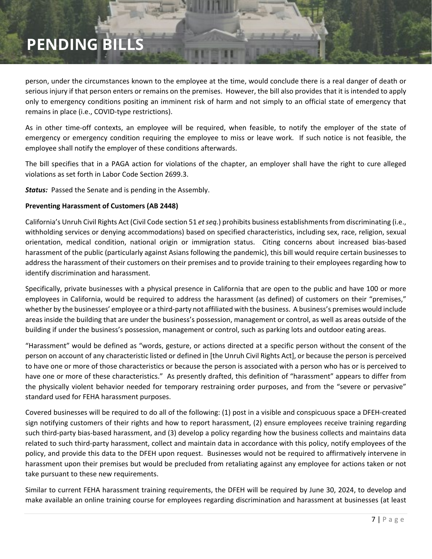person, under the circumstances known to the employee at the time, would conclude there is a real danger of death or serious injury if that person enters or remains on the premises. However, the bill also provides that it is intended to apply only to emergency conditions positing an imminent risk of harm and not simply to an official state of emergency that remains in place (i.e., COVID-type restrictions).

As in other time-off contexts, an employee will be required, when feasible, to notify the employer of the state of emergency or emergency condition requiring the employee to miss or leave work. If such notice is not feasible, the employee shall notify the employer of these conditions afterwards.

The bill specifies that in a PAGA action for violations of the chapter, an employer shall have the right to cure alleged violations as set forth in Labor Code Section 2699.3.

*Status:* Passed the Senate and is pending in the Assembly.

#### <span id="page-6-0"></span>**Preventing Harassment of Customers (AB 2448)**

California's Unruh Civil Rights Act (Civil Code section 51 *et seq.*) prohibits business establishments from discriminating (i.e., withholding services or denying accommodations) based on specified characteristics, including sex, race, religion, sexual orientation, medical condition, national origin or immigration status. Citing concerns about increased bias-based harassment of the public (particularly against Asians following the pandemic), this bill would require certain businesses to address the harassment of their customers on their premises and to provide training to their employees regarding how to identify discrimination and harassment.

Specifically, private businesses with a physical presence in California that are open to the public and have 100 or more employees in California, would be required to address the harassment (as defined) of customers on their "premises," whether by the businesses' employee or a third-party not affiliated with the business. A business's premises would include areas inside the building that are under the business's possession, management or control, as well as areas outside of the building if under the business's possession, management or control, such as parking lots and outdoor eating areas.

"Harassment" would be defined as "words, gesture, or actions directed at a specific person without the consent of the person on account of any characteristic listed or defined in [the Unruh Civil Rights Act], or because the person is perceived to have one or more of those characteristics or because the person is associated with a person who has or is perceived to have one or more of these characteristics." As presently drafted, this definition of "harassment" appears to differ from the physically violent behavior needed for temporary restraining order purposes, and from the "severe or pervasive" standard used for FEHA harassment purposes.

Covered businesses will be required to do all of the following: (1) post in a visible and conspicuous space a DFEH-created sign notifying customers of their rights and how to report harassment, (2) ensure employees receive training regarding such third-party bias-based harassment, and (3) develop a policy regarding how the business collects and maintains data related to such third-party harassment, collect and maintain data in accordance with this policy, notify employees of the policy, and provide this data to the DFEH upon request. Businesses would not be required to affirmatively intervene in harassment upon their premises but would be precluded from retaliating against any employee for actions taken or not take pursuant to these new requirements.

Similar to current FEHA harassment training requirements, the DFEH will be required by June 30, 2024, to develop and make available an online training course for employees regarding discrimination and harassment at businesses (at least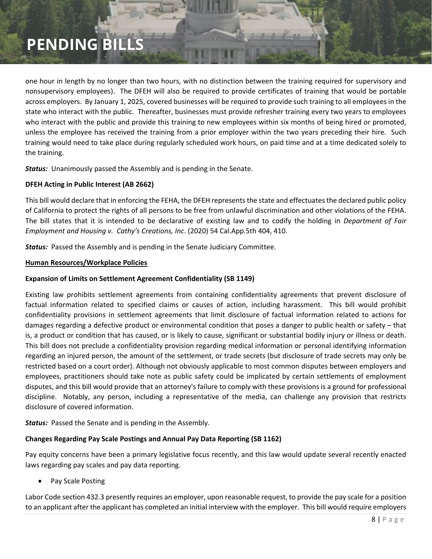one hour in length by no longer than two hours, with no distinction between the training required for supervisory and nonsupervisory employees). The DFEH will also be required to provide certificates of training that would be portable across employers. By January 1, 2025, covered businesses will be required to provide such training to all employees in the state who interact with the public. Thereafter, businesses must provide refresher training every two years to employees who interact with the public and provide this training to new employees within six months of being hired or promoted, unless the employee has received the training from a prior employer within the two years preceding their hire. Such training would need to take place during regularly scheduled work hours, on paid time and at a time dedicated solely to the training.

*Status:* Unanimously passed the Assembly and is pending in the Senate.

#### **DFEH Acting in Public Interest (AB 2662)**

This bill would declare that in enforcing the FEHA, the DFEH represents the state and effectuates the declared public policy of California to protect the rights of all persons to be free from unlawful discrimination and other violations of the FEHA. The bill states that it is intended to be declarative of existing law and to codify the holding in *Department of Fair Employment and Housing v. Cathy's Creations, Inc*. (2020) 54 Cal.App.5th 404, 410.

*Status:* Passed the Assembly and is pending in the Senate Judiciary Committee.

#### <span id="page-7-1"></span>**Human Resources/Workplace Policies**

#### **Expansion of Limits on Settlement Agreement Confidentiality (SB 1149)**

Existing law prohibits settlement agreements from containing confidentiality agreements that prevent disclosure of factual information related to specified claims or causes of action, including harassment. This bill would prohibit confidentiality provisions in settlement agreements that limit disclosure of factual information related to actions for damages regarding a defective product or environmental condition that poses a danger to public health or safety – that is, a product or condition that has caused, or is likely to cause, significant or substantial bodily injury or illness or death. This bill does not preclude a confidentiality provision regarding medical information or personal identifying information regarding an injured person, the amount of the settlement, or trade secrets (but disclosure of trade secrets may only be restricted based on a court order). Although not obviously applicable to most common disputes between employers and employees, practitioners should take note as public safety could be implicated by certain settlements of employment disputes, and this bill would provide that an attorney's failure to comply with these provisions is a ground for professional discipline. Notably, any person, including a representative of the media, can challenge any provision that restricts disclosure of covered information.

*Status:* Passed the Senate and is pending in the Assembly.

#### **Changes Regarding Pay Scale Postings and Annual Pay Data Reporting (SB 1162)**

Pay equity concerns have been a primary legislative focus recently, and this law would update several recently enacted laws regarding pay scales and pay data reporting.

<span id="page-7-0"></span>Pay Scale Posting

Labor Code section 432.3 presently requires an employer, upon reasonable request, to provide the pay scale for a position to an applicant after the applicant has completed an initial interview with the employer. This bill would require employers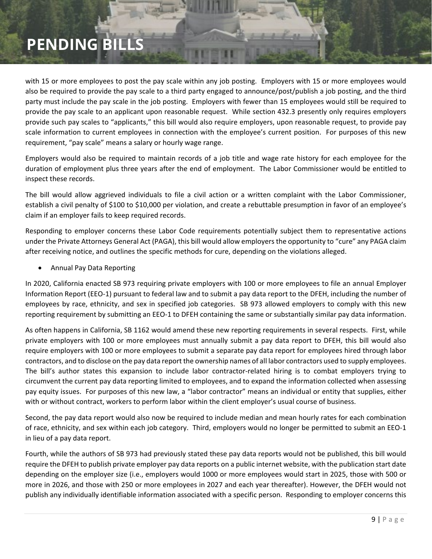with 15 or more employees to post the pay scale within any job posting. Employers with 15 or more employees would also be required to provide the pay scale to a third party engaged to announce/post/publish a job posting, and the third party must include the pay scale in the job posting. Employers with fewer than 15 employees would still be required to provide the pay scale to an applicant upon reasonable request. While section 432.3 presently only requires employers provide such pay scales to "applicants," this bill would also require employers, upon reasonable request, to provide pay scale information to current employees in connection with the employee's current position. For purposes of this new requirement, "pay scale" means a salary or hourly wage range.

Employers would also be required to maintain records of a job title and wage rate history for each employee for the duration of employment plus three years after the end of employment. The Labor Commissioner would be entitled to inspect these records.

The bill would allow aggrieved individuals to file a civil action or a written complaint with the Labor Commissioner, establish a civil penalty of \$100 to \$10,000 per violation, and create a rebuttable presumption in favor of an employee's claim if an employer fails to keep required records.

Responding to employer concerns these Labor Code requirements potentially subject them to representative actions under the Private Attorneys General Act (PAGA), this bill would allow employers the opportunity to "cure" any PAGA claim after receiving notice, and outlines the specific methods for cure, depending on the violations alleged.

• Annual Pay Data Reporting

In 2020, California enacted SB 973 requiring private employers with 100 or more employees to file an annual Employer Information Report (EEO-1) pursuant to federal law and to submit a pay data report to the DFEH, including the number of employees by race, ethnicity, and sex in specified job categories. SB 973 allowed employers to comply with this new reporting requirement by submitting an EEO-1 to DFEH containing the same or substantially similar pay data information.

As often happens in California, SB 1162 would amend these new reporting requirements in several respects. First, while private employers with 100 or more employees must annually submit a pay data report to DFEH, this bill would also require employers with 100 or more employees to submit a separate pay data report for employees hired through labor contractors, and to disclose on the pay data report the ownership names of all labor contractors used to supply employees. The bill's author states this expansion to include labor contractor-related hiring is to combat employers trying to circumvent the current pay data reporting limited to employees, and to expand the information collected when assessing pay equity issues. For purposes of this new law, a "labor contractor" means an individual or entity that supplies, either with or without contract, workers to perform labor within the client employer's usual course of business.

Second, the pay data report would also now be required to include median and mean hourly rates for each combination of race, ethnicity, and sex within each job category. Third, employers would no longer be permitted to submit an EEO-1 in lieu of a pay data report.

Fourth, while the authors of SB 973 had previously stated these pay data reports would not be published, this bill would require the DFEH to publish private employer pay data reports on a public internet website, with the publication start date depending on the employer size (i.e., employers would 1000 or more employees would start in 2025, those with 500 or more in 2026, and those with 250 or more employees in 2027 and each year thereafter). However, the DFEH would not publish any individually identifiable information associated with a specific person. Responding to employer concerns this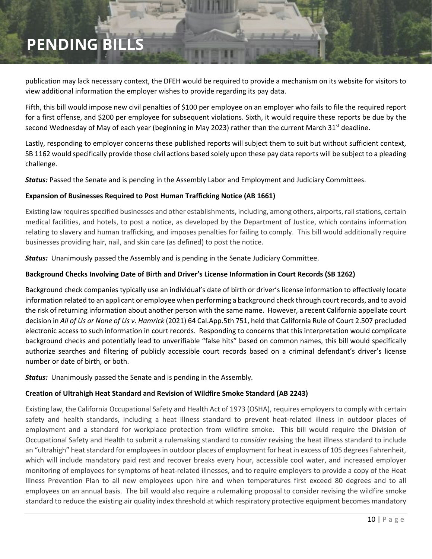publication may lack necessary context, the DFEH would be required to provide a mechanism on its website for visitors to view additional information the employer wishes to provide regarding its pay data.

Fifth, this bill would impose new civil penalties of \$100 per employee on an employer who fails to file the required report for a first offense, and \$200 per employee for subsequent violations. Sixth, it would require these reports be due by the second Wednesday of May of each year (beginning in May 2023) rather than the current March 31st deadline.

Lastly, responding to employer concerns these published reports will subject them to suit but without sufficient context, SB 1162 would specifically provide those civil actions based solely upon these pay data reports will be subject to a pleading challenge.

*Status:* Passed the Senate and is pending in the Assembly Labor and Employment and Judiciary Committees.

#### **Expansion of Businesses Required to Post Human Trafficking Notice (AB 1661)**

Existing law requires specified businesses and other establishments, including, among others, airports, rail stations, certain medical facilities, and hotels, to post a notice, as developed by the Department of Justice, which contains information relating to slavery and human trafficking, and imposes penalties for failing to comply. This bill would additionally require businesses providing hair, nail, and skin care (as defined) to post the notice.

*Status:* Unanimously passed the Assembly and is pending in the Senate Judiciary Committee.

#### **Background Checks Involving Date of Birth and Driver's License Information in Court Records (SB 1262)**

Background check companies typically use an individual's date of birth or driver's license information to effectively locate information related to an applicant or employee when performing a background check through court records, and to avoid the risk of returning information about another person with the same name. However, a recent California appellate court decision in *All of Us or None of Us v. Hamrick* (2021) 64 Cal.App.5th 751, held that California Rule of Court 2.507 precluded electronic access to such information in court records. Responding to concerns that this interpretation would complicate background checks and potentially lead to unverifiable "false hits" based on common names, this bill would specifically authorize searches and filtering of publicly accessible court records based on a criminal defendant's driver's license number or date of birth, or both.

*Status:* Unanimously passed the Senate and is pending in the Assembly.

#### **Creation of Ultrahigh Heat Standard and Revision of Wildfire Smoke Standard (AB 2243)**

Existing law, the California Occupational Safety and Health Act of 1973 (OSHA), requires employers to comply with certain safety and health standards, including a heat illness standard to prevent heat-related illness in outdoor places of employment and a standard for workplace protection from wildfire smoke. This bill would require the Division of Occupational Safety and Health to submit a rulemaking standard to *consider* revising the heat illness standard to include an "ultrahigh" heat standard for employees in outdoor places of employment for heat in excess of 105 degrees Fahrenheit, which will include mandatory paid rest and recover breaks every hour, accessible cool water, and increased employer monitoring of employees for symptoms of heat-related illnesses, and to require employers to provide a copy of the Heat Illness Prevention Plan to all new employees upon hire and when temperatures first exceed 80 degrees and to all employees on an annual basis. The bill would also require a rulemaking proposal to consider revising the wildfire smoke standard to reduce the existing air quality index threshold at which respiratory protective equipment becomes mandatory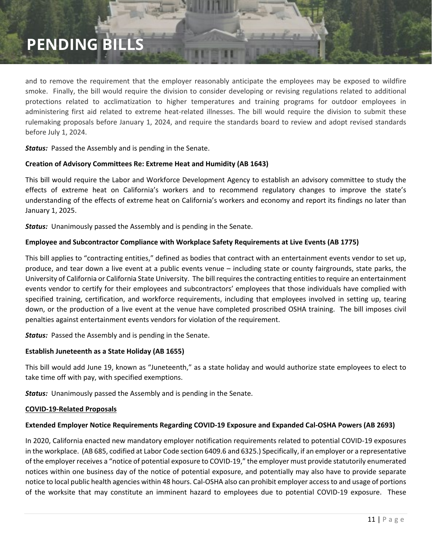and to remove the requirement that the employer reasonably anticipate the employees may be exposed to wildfire smoke. Finally, the bill would require the division to consider developing or revising regulations related to additional protections related to acclimatization to higher temperatures and training programs for outdoor employees in administering first aid related to extreme heat-related illnesses. The bill would require the division to submit these rulemaking proposals before January 1, 2024, and require the standards board to review and adopt revised standards before July 1, 2024.

*Status:* Passed the Assembly and is pending in the Senate.

#### **Creation of Advisory Committees Re: Extreme Heat and Humidity (AB 1643)**

This bill would require the Labor and Workforce Development Agency to establish an advisory committee to study the effects of extreme heat on California's workers and to recommend regulatory changes to improve the state's understanding of the effects of extreme heat on California's workers and economy and report its findings no later than January 1, 2025.

*Status:* Unanimously passed the Assembly and is pending in the Senate.

#### **Employee and Subcontractor Compliance with Workplace Safety Requirements at Live Events (AB 1775)**

This bill applies to "contracting entities," defined as bodies that contract with an entertainment events vendor to set up, produce, and tear down a live event at a public events venue – including state or county fairgrounds, state parks, the University of California or California State University. The bill requires the contracting entities to require an entertainment events vendor to certify for their employees and subcontractors' employees that those individuals have complied with specified training, certification, and workforce requirements, including that employees involved in setting up, tearing down, or the production of a live event at the venue have completed proscribed OSHA training. The bill imposes civil penalties against entertainment events vendors for violation of the requirement.

*Status:* Passed the Assembly and is pending in the Senate.

#### **Establish Juneteenth as a State Holiday (AB 1655)**

This bill would add June 19, known as "Juneteenth," as a state holiday and would authorize state employees to elect to take time off with pay, with specified exemptions.

*Status:* Unanimously passed the Assembly and is pending in the Senate.

#### <span id="page-10-1"></span>**COVID-19-Related Proposals**

#### <span id="page-10-0"></span>**Extended Employer Notice Requirements Regarding COVID-19 Exposure and Expanded Cal-OSHA Powers (AB 2693)**

In 2020, California enacted new mandatory employer notification requirements related to potential COVID-19 exposures in the workplace. (AB 685, codified at Labor Code section 6409.6 and 6325.) Specifically, if an employer or a representative of the employer receives a "notice of potential exposure to COVID-19," the employer must provide statutorily enumerated notices within one business day of the notice of potential exposure, and potentially may also have to provide separate notice to local public health agencies within 48 hours. Cal-OSHA also can prohibit employer access to and usage of portions of the worksite that may constitute an imminent hazard to employees due to potential COVID-19 exposure. These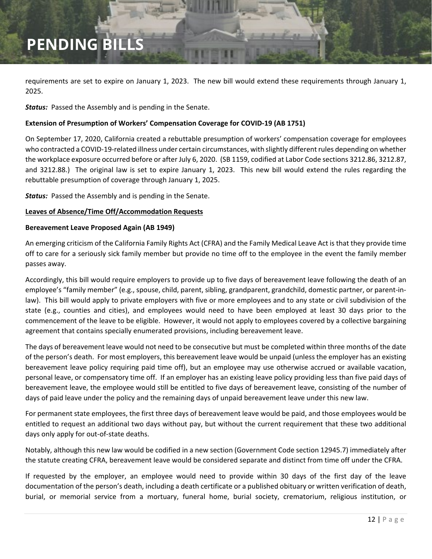requirements are set to expire on January 1, 2023. The new bill would extend these requirements through January 1, 2025.

*Status:* Passed the Assembly and is pending in the Senate.

#### **Extension of Presumption of Workers' Compensation Coverage for COVID-19 (AB 1751)**

On September 17, 2020, California created a rebuttable presumption of workers' compensation coverage for employees who contracted a COVID-19-related illness under certain circumstances, with slightly different rules depending on whether the workplace exposure occurred before or after July 6, 2020. (SB 1159, codified at Labor Code sections 3212.86, 3212.87, and 3212.88.) The original law is set to expire January 1, 2023. This new bill would extend the rules regarding the rebuttable presumption of coverage through January 1, 2025.

*Status:* Passed the Assembly and is pending in the Senate.

#### <span id="page-11-1"></span>**Leaves of Absence/Time Off/Accommodation Requests**

#### <span id="page-11-0"></span>**Bereavement Leave Proposed Again (AB 1949)**

An emerging criticism of the California Family Rights Act (CFRA) and the Family Medical Leave Act is that they provide time off to care for a seriously sick family member but provide no time off to the employee in the event the family member passes away.

Accordingly, this bill would require employers to provide up to five days of bereavement leave following the death of an employee's "family member" (e.g., spouse, child, parent, sibling, grandparent, grandchild, domestic partner, or parent-inlaw). This bill would apply to private employers with five or more employees and to any state or civil subdivision of the state (e.g., counties and cities), and employees would need to have been employed at least 30 days prior to the commencement of the leave to be eligible. However, it would not apply to employees covered by a collective bargaining agreement that contains specially enumerated provisions, including bereavement leave.

The days of bereavement leave would not need to be consecutive but must be completed within three months of the date of the person's death. For most employers, this bereavement leave would be unpaid (unless the employer has an existing bereavement leave policy requiring paid time off), but an employee may use otherwise accrued or available vacation, personal leave, or compensatory time off. If an employer has an existing leave policy providing less than five paid days of bereavement leave, the employee would still be entitled to five days of bereavement leave, consisting of the number of days of paid leave under the policy and the remaining days of unpaid bereavement leave under this new law.

For permanent state employees, the first three days of bereavement leave would be paid, and those employees would be entitled to request an additional two days without pay, but without the current requirement that these two additional days only apply for out-of-state deaths.

Notably, although this new law would be codified in a new section (Government Code section 12945.7) immediately after the statute creating CFRA, bereavement leave would be considered separate and distinct from time off under the CFRA.

If requested by the employer, an employee would need to provide within 30 days of the first day of the leave documentation of the person's death, including a death certificate or a published obituary or written verification of death, burial, or memorial service from a mortuary, funeral home, burial society, crematorium, religious institution, or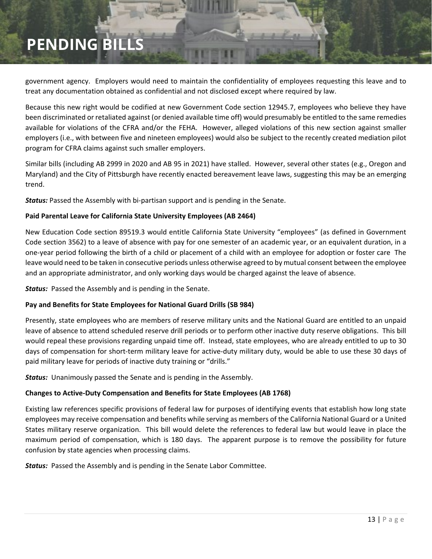government agency. Employers would need to maintain the confidentiality of employees requesting this leave and to treat any documentation obtained as confidential and not disclosed except where required by law.

Because this new right would be codified at new Government Code section 12945.7, employees who believe they have been discriminated or retaliated against (or denied available time off) would presumably be entitled to the same remedies available for violations of the CFRA and/or the FEHA. However, alleged violations of this new section against smaller employers (i.e., with between five and nineteen employees) would also be subject to the recently created mediation pilot program for CFRA claims against such smaller employers.

Similar bills (including AB 2999 in 2020 and AB 95 in 2021) have stalled. However, several other states (e.g., Oregon and Maryland) and the City of Pittsburgh have recently enacted bereavement leave laws, suggesting this may be an emerging trend.

*Status:* Passed the Assembly with bi-partisan support and is pending in the Senate.

#### **Paid Parental Leave for California State University Employees (AB 2464)**

New Education Code section 89519.3 would entitle California State University "employees" (as defined in Government Code section 3562) to a leave of absence with pay for one semester of an academic year, or an equivalent duration, in a one-year period following the birth of a child or placement of a child with an employee for adoption or foster care The leave would need to be taken in consecutive periods unless otherwise agreed to by mutual consent between the employee and an appropriate administrator, and only working days would be charged against the leave of absence.

*Status:* Passed the Assembly and is pending in the Senate.

#### **Pay and Benefits for State Employees for National Guard Drills (SB 984)**

Presently, state employees who are members of reserve military units and the National Guard are entitled to an unpaid leave of absence to attend scheduled reserve drill periods or to perform other inactive duty reserve obligations. This bill would repeal these provisions regarding unpaid time off. Instead, state employees, who are already entitled to up to 30 days of compensation for short-term military leave for active-duty military duty, would be able to use these 30 days of paid military leave for periods of inactive duty training or "drills."

*Status:* Unanimously passed the Senate and is pending in the Assembly.

#### **Changes to Active-Duty Compensation and Benefits for State Employees (AB 1768)**

Existing law references specific provisions of federal law for purposes of identifying events that establish how long state employees may receive compensation and benefits while serving as members of the California National Guard or a United States military reserve organization. This bill would delete the references to federal law but would leave in place the maximum period of compensation, which is 180 days. The apparent purpose is to remove the possibility for future confusion by state agencies when processing claims.

*Status:* Passed the Assembly and is pending in the Senate Labor Committee.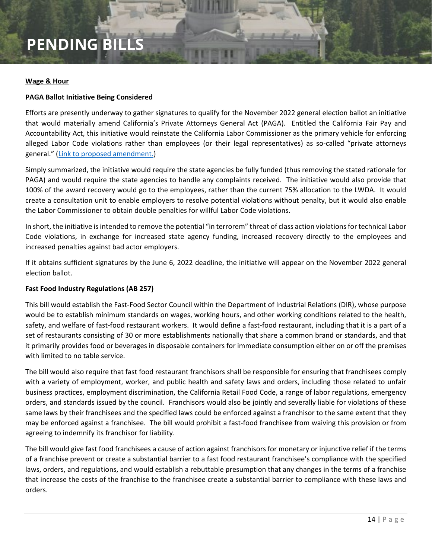#### <span id="page-13-0"></span>**Wage & Hour**

#### **PAGA Ballot Initiative Being Considered**

Efforts are presently underway to gather signatures to qualify for the November 2022 general election ballot an initiative that would materially amend California's Private Attorneys General Act (PAGA). Entitled the California Fair Pay and Accountability Act, this initiative would reinstate the California Labor Commissioner as the primary vehicle for enforcing alleged Labor Code violations rather than employees (or their legal representatives) as so-called "private attorneys general." (Link to proposed amendment.)

Simply summarized, the initiative would require the state agencies be fully funded (thus removing the stated rationale for PAGA) and would require the state agencies to handle any complaints received. The initiative would also provide that 100% of the award recovery would go to the employees, rather than the current 75% allocation to the LWDA. It would create a consultation unit to enable employers to resolve potential violations without penalty, but it would also enable the Labor Commissioner to obtain double penalties for willful Labor Code violations.

In short, the initiative is intended to remove the potential "in terrorem" threat of class action violations for technical Labor Code violations, in exchange for increased state agency funding, increased recovery directly to the employees and increased penalties against bad actor employers.

If it obtains sufficient signatures by the June 6, 2022 deadline, the initiative will appear on the November 2022 general election ballot.

#### **Fast Food Industry Regulations (AB 257)**

This bill would establish the Fast-Food Sector Council within the Department of Industrial Relations (DIR), whose purpose would be to establish minimum standards on wages, working hours, and other working conditions related to the health, safety, and welfare of fast-food restaurant workers. It would define a fast-food restaurant, including that it is a part of a set of restaurants consisting of 30 or more establishments nationally that share a common brand or standards, and that it primarily provides food or beverages in disposable containers for immediate consumption either on or off the premises with limited to no table service.

The bill would also require that fast food restaurant franchisors shall be responsible for ensuring that franchisees comply with a variety of employment, worker, and public health and safety laws and orders, including those related to unfair business practices, employment discrimination, the California Retail Food Code, a range of labor regulations, emergency orders, and standards issued by the council. Franchisors would also be jointly and severally liable for violations of these same laws by their franchisees and the specified laws could be enforced against a franchisor to the same extent that they may be enforced against a franchisee. The bill would prohibit a fast-food franchisee from waiving this provision or from agreeing to indemnify its franchisor for liability.

The bill would give fast food franchisees a cause of action against franchisors for monetary or injunctive relief if the terms of a franchise prevent or create a substantial barrier to a fast food restaurant franchisee's compliance with the specified laws, orders, and regulations, and would establish a rebuttable presumption that any changes in the terms of a franchise that increase the costs of the franchise to the franchisee create a substantial barrier to compliance with these laws and orders.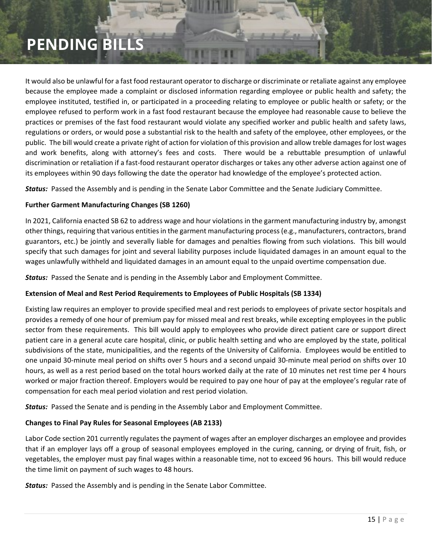It would also be unlawful for a fast food restaurant operator to discharge or discriminate or retaliate against any employee because the employee made a complaint or disclosed information regarding employee or public health and safety; the employee instituted, testified in, or participated in a proceeding relating to employee or public health or safety; or the employee refused to perform work in a fast food restaurant because the employee had reasonable cause to believe the practices or premises of the fast food restaurant would violate any specified worker and public health and safety laws, regulations or orders, or would pose a substantial risk to the health and safety of the employee, other employees, or the public. The bill would create a private right of action for violation of this provision and allow treble damages for lost wages and work benefits, along with attorney's fees and costs. There would be a rebuttable presumption of unlawful discrimination or retaliation if a fast-food restaurant operator discharges or takes any other adverse action against one of its employees within 90 days following the date the operator had knowledge of the employee's protected action.

*Status:* Passed the Assembly and is pending in the Senate Labor Committee and the Senate Judiciary Committee.

#### **Further Garment Manufacturing Changes (SB 1260)**

In 2021, California enacted SB 62 to address wage and hour violations in the garment manufacturing industry by, amongst other things, requiring that various entities in the garment manufacturing process (e.g., manufacturers, contractors, brand guarantors, etc.) be jointly and severally liable for damages and penalties flowing from such violations. This bill would specify that such damages for joint and several liability purposes include liquidated damages in an amount equal to the wages unlawfully withheld and liquidated damages in an amount equal to the unpaid overtime compensation due.

*Status:* Passed the Senate and is pending in the Assembly Labor and Employment Committee.

#### **Extension of Meal and Rest Period Requirements to Employees of Public Hospitals (SB 1334)**

Existing law requires an employer to provide specified meal and rest periods to employees of private sector hospitals and provides a remedy of one hour of premium pay for missed meal and rest breaks, while excepting employees in the public sector from these requirements. This bill would apply to employees who provide direct patient care or support direct patient care in a general acute care hospital, clinic, or public health setting and who are employed by the state, political subdivisions of the state, municipalities, and the regents of the University of California. Employees would be entitled to one unpaid 30-minute meal period on shifts over 5 hours and a second unpaid 30-minute meal period on shifts over 10 hours, as well as a rest period based on the total hours worked daily at the rate of 10 minutes net rest time per 4 hours worked or major fraction thereof. Employers would be required to pay one hour of pay at the employee's regular rate of compensation for each meal period violation and rest period violation.

*Status:* Passed the Senate and is pending in the Assembly Labor and Employment Committee.

#### **Changes to Final Pay Rules for Seasonal Employees (AB 2133)**

Labor Code section 201 currently regulates the payment of wages after an employer discharges an employee and provides that if an employer lays off a group of seasonal employees employed in the curing, canning, or drying of fruit, fish, or vegetables, the employer must pay final wages within a reasonable time, not to exceed 96 hours. This bill would reduce the time limit on payment of such wages to 48 hours.

*Status:* Passed the Assembly and is pending in the Senate Labor Committee.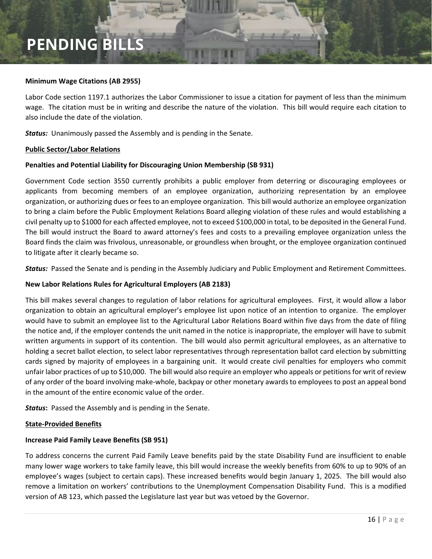#### **Minimum Wage Citations (AB 2955)**

Labor Code section 1197.1 authorizes the Labor Commissioner to issue a citation for payment of less than the minimum wage. The citation must be in writing and describe the nature of the violation. This bill would require each citation to also include the date of the violation.

*Status:* Unanimously passed the Assembly and is pending in the Senate.

#### <span id="page-15-0"></span>**Public Sector/Labor Relations**

#### **Penalties and Potential Liability for Discouraging Union Membership (SB 931)**

Government Code section 3550 currently prohibits a public employer from deterring or discouraging employees or applicants from becoming members of an employee organization, authorizing representation by an employee organization, or authorizing dues or fees to an employee organization. This bill would authorize an employee organization to bring a claim before the Public Employment Relations Board alleging violation of these rules and would establishing a civil penalty up to \$1000 for each affected employee, not to exceed \$100,000 in total, to be deposited in the General Fund. The bill would instruct the Board to award attorney's fees and costs to a prevailing employee organization unless the Board finds the claim was frivolous, unreasonable, or groundless when brought, or the employee organization continued to litigate after it clearly became so.

*Status:* Passed the Senate and is pending in the Assembly Judiciary and Public Employment and Retirement Committees.

#### **New Labor Relations Rules for Agricultural Employers (AB 2183)**

This bill makes several changes to regulation of labor relations for agricultural employees. First, it would allow a labor organization to obtain an agricultural employer's employee list upon notice of an intention to organize. The employer would have to submit an employee list to the Agricultural Labor Relations Board within five days from the date of filing the notice and, if the employer contends the unit named in the notice is inappropriate, the employer will have to submit written arguments in support of its contention. The bill would also permit agricultural employees, as an alternative to holding a secret ballot election, to select labor representatives through representation ballot card election by submitting cards signed by majority of employees in a bargaining unit. It would create civil penalties for employers who commit unfair labor practices of up to \$10,000. The bill would also require an employer who appeals or petitions for writ of review of any order of the board involving make-whole, backpay or other monetary awards to employees to post an appeal bond in the amount of the entire economic value of the order.

**Status:** Passed the Assembly and is pending in the Senate.

#### <span id="page-15-1"></span>**State-Provided Benefits**

#### **Increase Paid Family Leave Benefits (SB 951)**

To address concerns the current Paid Family Leave benefits paid by the state Disability Fund are insufficient to enable many lower wage workers to take family leave, this bill would increase the weekly benefits from 60% to up to 90% of an employee's wages (subject to certain caps). These increased benefits would begin January 1, 2025. The bill would also remove a limitation on workers' contributions to the Unemployment Compensation Disability Fund. This is a modified version of AB 123, which passed the Legislature last year but was vetoed by the Governor.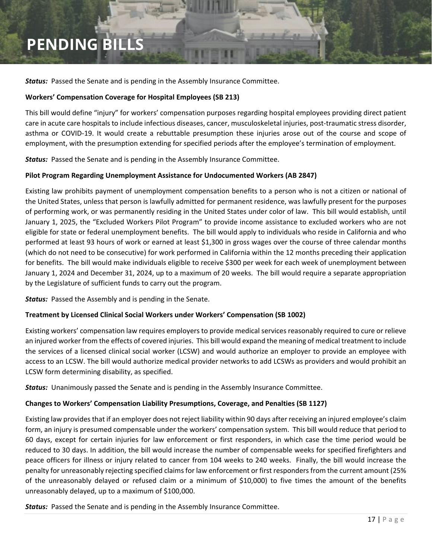*Status:* Passed the Senate and is pending in the Assembly Insurance Committee.

#### **Workers' Compensation Coverage for Hospital Employees (SB 213)**

This bill would define "injury" for workers' compensation purposes regarding hospital employees providing direct patient care in acute care hospitals to include infectious diseases, cancer, musculoskeletal injuries, post-traumatic stress disorder, asthma or COVID-19. It would create a rebuttable presumption these injuries arose out of the course and scope of employment, with the presumption extending for specified periods after the employee's termination of employment.

*Status:* Passed the Senate and is pending in the Assembly Insurance Committee.

#### **Pilot Program Regarding Unemployment Assistance for Undocumented Workers (AB 2847)**

Existing law prohibits payment of unemployment compensation benefits to a person who is not a citizen or national of the United States, unless that person is lawfully admitted for permanent residence, was lawfully present for the purposes of performing work, or was permanently residing in the United States under color of law. This bill would establish, until January 1, 2025, the "Excluded Workers Pilot Program" to provide income assistance to excluded workers who are not eligible for state or federal unemployment benefits. The bill would apply to individuals who reside in California and who performed at least 93 hours of work or earned at least \$1,300 in gross wages over the course of three calendar months (which do not need to be consecutive) for work performed in California within the 12 months preceding their application for benefits. The bill would make individuals eligible to receive \$300 per week for each week of unemployment between January 1, 2024 and December 31, 2024, up to a maximum of 20 weeks. The bill would require a separate appropriation by the Legislature of sufficient funds to carry out the program.

*Status:* Passed the Assembly and is pending in the Senate.

#### **Treatment by Licensed Clinical Social Workers under Workers' Compensation (SB 1002)**

Existing workers' compensation law requires employers to provide medical services reasonably required to cure or relieve an injured worker from the effects of covered injuries. This bill would expand the meaning of medical treatment to include the services of a licensed clinical social worker (LCSW) and would authorize an employer to provide an employee with access to an LCSW. The bill would authorize medical provider networks to add LCSWs as providers and would prohibit an LCSW form determining disability, as specified.

**Status:** Unanimously passed the Senate and is pending in the Assembly Insurance Committee.

### **Changes to Workers' Compensation Liability Presumptions, Coverage, and Penalties (SB 1127)**

Existing law provides that if an employer does not reject liability within 90 days after receiving an injured employee's claim form, an injury is presumed compensable under the workers' compensation system. This bill would reduce that period to 60 days, except for certain injuries for law enforcement or first responders, in which case the time period would be reduced to 30 days. In addition, the bill would increase the number of compensable weeks for specified firefighters and peace officers for illness or injury related to cancer from 104 weeks to 240 weeks. Finally, the bill would increase the penalty for unreasonably rejecting specified claims for law enforcement or first responders from the current amount (25% of the unreasonably delayed or refused claim or a minimum of \$10,000) to five times the amount of the benefits unreasonably delayed, up to a maximum of \$100,000.

*Status:* Passed the Senate and is pending in the Assembly Insurance Committee.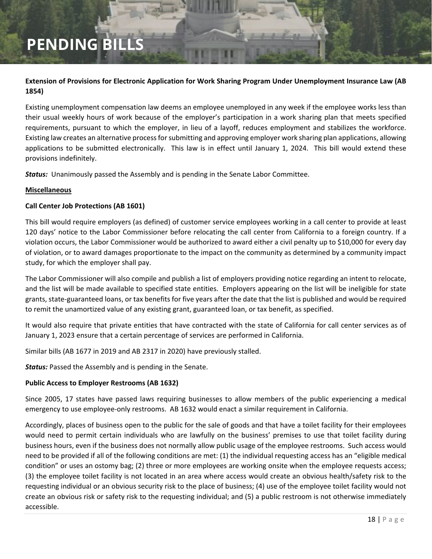### **Extension of Provisions for Electronic Application for Work Sharing Program Under Unemployment Insurance Law (AB 1854)**

Existing unemployment compensation law deems an employee unemployed in any week if the employee works less than their usual weekly hours of work because of the employer's participation in a work sharing plan that meets specified requirements, pursuant to which the employer, in lieu of a layoff, reduces employment and stabilizes the workforce. Existing law creates an alternative process for submitting and approving employer work sharing plan applications, allowing applications to be submitted electronically. This law is in effect until January 1, 2024. This bill would extend these provisions indefinitely.

*Status:* Unanimously passed the Assembly and is pending in the Senate Labor Committee.

#### <span id="page-17-1"></span>**Miscellaneous**

#### **Call Center Job Protections (AB 1601)**

This bill would require employers (as defined) of customer service employees working in a call center to provide at least 120 days' notice to the Labor Commissioner before relocating the call center from California to a foreign country. If a violation occurs, the Labor Commissioner would be authorized to award either a civil penalty up to \$10,000 for every day of violation, or to award damages proportionate to the impact on the community as determined by a community impact study, for which the employer shall pay.

The Labor Commissioner will also compile and publish a list of employers providing notice regarding an intent to relocate, and the list will be made available to specified state entities. Employers appearing on the list will be ineligible for state grants, state-guaranteed loans, or tax benefits for five years after the date that the list is published and would be required to remit the unamortized value of any existing grant, guaranteed loan, or tax benefit, as specified.

It would also require that private entities that have contracted with the state of California for call center services as of January 1, 2023 ensure that a certain percentage of services are performed in California.

Similar bills (AB 1677 in 2019 and AB 2317 in 2020) have previously stalled.

*Status:* Passed the Assembly and is pending in the Senate.

#### <span id="page-17-0"></span>**Public Access to Employer Restrooms (AB 1632)**

Since 2005, 17 states have passed laws requiring businesses to allow members of the public experiencing a medical emergency to use employee-only restrooms. AB 1632 would enact a similar requirement in California.

Accordingly, places of business open to the public for the sale of goods and that have a toilet facility for their employees would need to permit certain individuals who are lawfully on the business' premises to use that toilet facility during business hours, even if the business does not normally allow public usage of the employee restrooms. Such access would need to be provided if all of the following conditions are met: (1) the individual requesting access has an "eligible medical condition" or uses an ostomy bag; (2) three or more employees are working onsite when the employee requests access; (3) the employee toilet facility is not located in an area where access would create an obvious health/safety risk to the requesting individual or an obvious security risk to the place of business; (4) use of the employee toilet facility would not create an obvious risk or safety risk to the requesting individual; and (5) a public restroom is not otherwise immediately accessible.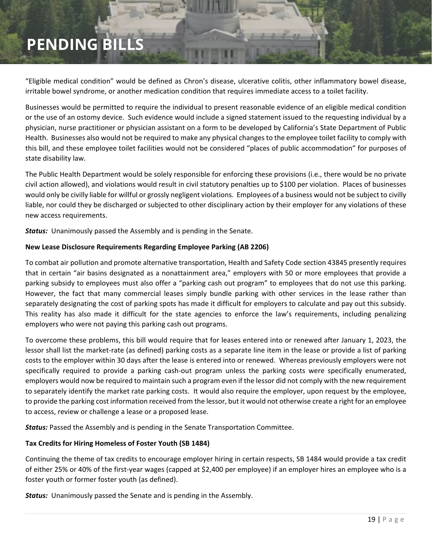"Eligible medical condition" would be defined as Chron's disease, ulcerative colitis, other inflammatory bowel disease, irritable bowel syndrome, or another medication condition that requires immediate access to a toilet facility.

Businesses would be permitted to require the individual to present reasonable evidence of an eligible medical condition or the use of an ostomy device. Such evidence would include a signed statement issued to the requesting individual by a physician, nurse practitioner or physician assistant on a form to be developed by California's State Department of Public Health. Businesses also would not be required to make any physical changes to the employee toilet facility to comply with this bill, and these employee toilet facilities would not be considered "places of public accommodation" for purposes of state disability law.

The Public Health Department would be solely responsible for enforcing these provisions (i.e., there would be no private civil action allowed), and violations would result in civil statutory penalties up to \$100 per violation. Places of businesses would only be civilly liable for willful or grossly negligent violations. Employees of a business would not be subject to civilly liable, nor could they be discharged or subjected to other disciplinary action by their employer for any violations of these new access requirements.

*Status:* Unanimously passed the Assembly and is pending in the Senate.

#### **New Lease Disclosure Requirements Regarding Employee Parking (AB 2206)**

To combat air pollution and promote alternative transportation, Health and Safety Code section 43845 presently requires that in certain "air basins designated as a nonattainment area," employers with 50 or more employees that provide a parking subsidy to employees must also offer a "parking cash out program" to employees that do not use this parking. However, the fact that many commercial leases simply bundle parking with other services in the lease rather than separately designating the cost of parking spots has made it difficult for employers to calculate and pay out this subsidy. This reality has also made it difficult for the state agencies to enforce the law's requirements, including penalizing employers who were not paying this parking cash out programs.

To overcome these problems, this bill would require that for leases entered into or renewed after January 1, 2023, the lessor shall list the market-rate (as defined) parking costs as a separate line item in the lease or provide a list of parking costs to the employer within 30 days after the lease is entered into or renewed. Whereas previously employers were not specifically required to provide a parking cash-out program unless the parking costs were specifically enumerated, employers would now be required to maintain such a program even if the lessor did not comply with the new requirement to separately identify the market rate parking costs. It would also require the employer, upon request by the employee, to provide the parking cost information received from the lessor, but it would not otherwise create a right for an employee to access, review or challenge a lease or a proposed lease.

*Status:* Passed the Assembly and is pending in the Senate Transportation Committee.

#### **Tax Credits for Hiring Homeless of Foster Youth (SB 1484)**

Continuing the theme of tax credits to encourage employer hiring in certain respects, SB 1484 would provide a tax credit of either 25% or 40% of the first-year wages (capped at \$2,400 per employee) if an employer hires an employee who is a foster youth or former foster youth (as defined).

*Status:* Unanimously passed the Senate and is pending in the Assembly.